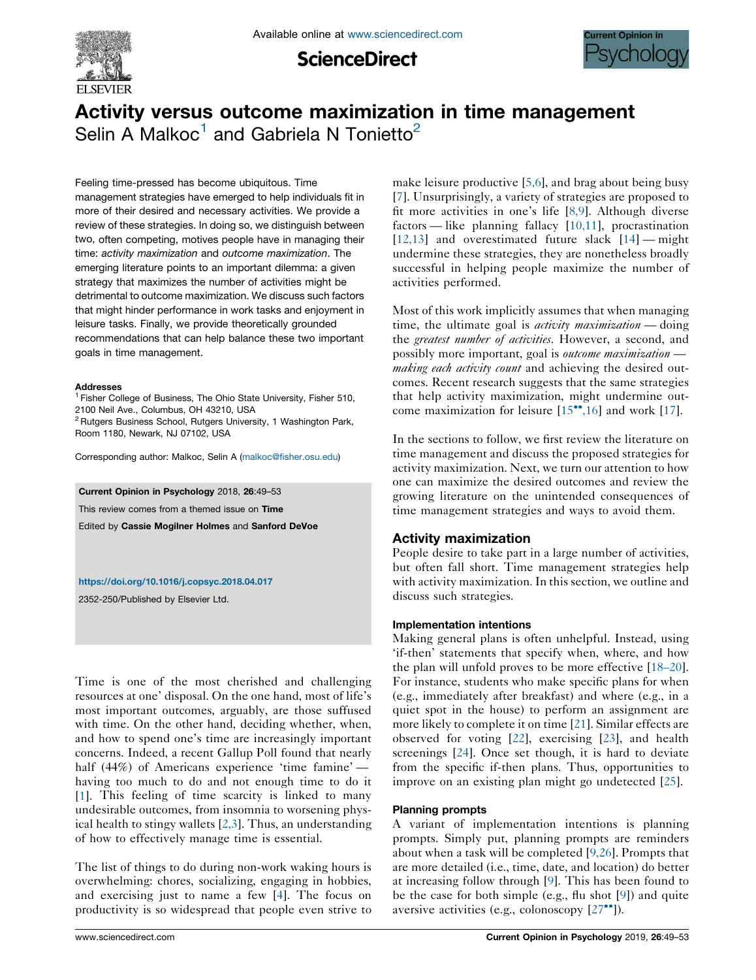

**ScienceDirect** 



# Activity versus outcome maximization in time management Selin A Malkoc<sup>1</sup> and Gabriela N Tonietto<sup>2</sup>

Feeling time-pressed has become ubiquitous. Time management strategies have emerged to help individuals fit in more of their desired and necessary activities. We provide a review of these strategies. In doing so, we distinguish between two, often competing, motives people have in managing their time: activity maximization and outcome maximization. The emerging literature points to an important dilemma: a given strategy that maximizes the number of activities might be detrimental to outcome maximization. We discuss such factors that might hinder performance in work tasks and enjoyment in leisure tasks. Finally, we provide theoretically grounded recommendations that can help balance these two important goals in time management.

#### **Addresses**

<sup>1</sup> Fisher College of Business, The Ohio State University, Fisher 510, 2100 Neil Ave., Columbus, OH 43210, USA

<sup>2</sup> Rutgers Business School, Rutgers University, 1 Washington Park, Room 1180, Newark, NJ 07102, USA

Corresponding author: Malkoc, Selin A [\(malkoc@fisher.osu.edu\)](mailto:malkoc@fisher.osu.edu)

Current Opinion in Psychology 2018, 26:49–53

This review comes from a themed issue on Time

Edited by Cassie Mogilner Holmes and Sanford DeVoe

<https://doi.org/10.1016/j.copsyc.2018.04.017>

2352-250/Published by Elsevier Ltd.

Time is one of the most cherished and challenging resources at one' disposal. On the one hand, most of life's most important outcomes, arguably, are those suffused with time. On the other hand, deciding whether, when, and how to spend one's time are increasingly important concerns. Indeed, a recent Gallup Poll found that nearly half (44%) of Americans experience 'time famine' having too much to do and not enough time to do it [\[1](#page-2-0)]. This feeling of time scarcity is linked to many undesirable outcomes, from insomnia to worsening physical health to stingy wallets [\[2,3\]](#page-2-0). Thus, an understanding of how to effectively manage time is essential.

The list of things to do during non-work waking hours is overwhelming: chores, socializing, engaging in hobbies, and exercising just to name a few [\[4](#page-2-0)]. The focus on productivity is so widespread that people even strive to make leisure productive [\[5,6\]](#page-3-0), and brag about being busy [[7](#page-3-0)]. Unsurprisingly, a variety of strategies are proposed to fit more activities in one's life [\[8,9\]](#page-3-0). Although diverse factors — like planning fallacy [[10,11](#page-3-0)], procrastination  $[12,13]$  $[12,13]$  and overestimated future slack  $[14]$  $[14]$  — might undermine these strategies, they are nonetheless broadly successful in helping people maximize the number of activities performed.

Most of this work implicitly assumes that when managing time, the ultimate goal is *activity maximization* — doing the greatest number of activities. However, a second, and possibly more important, goal is *outcome maximization making each activity count* and achieving the desired outcomes. Recent research suggests that the same strategies that help activity maximization, might undermine outcome maximization for leisure  $[15\text{°}^{\bullet},16]$  $[15\text{°}^{\bullet},16]$  and work  $[17]$  $[17]$ .

In the sections to follow, we first review the literature on time management and discuss the proposed strategies for activity maximization. Next, we turn our attention to how one can maximize the desired outcomes and review the growing literature on the unintended consequences of time management strategies and ways to avoid them.

# Activity maximization

People desire to take part in a large number of activities, but often fall short. Time management strategies help with activity maximization. In this section, we outline and discuss such strategies.

#### Implementation intentions

Making general plans is often unhelpful. Instead, using 'if-then' statements that specify when, where, and how the plan will unfold proves to be more effective [[18–20\]](#page-3-0). For instance, students who make specific plans for when (e.g., immediately after breakfast) and where (e.g., in a quiet spot in the house) to perform an assignment are more likely to complete it on time [\[21](#page-3-0)]. Similar effects are observed for voting [\[22](#page-3-0)], exercising [[23\]](#page-3-0), and health screenings [\[24](#page-3-0)]. Once set though, it is hard to deviate from the specific if-then plans. Thus, opportunities to improve on an existing plan might go undetected [\[25](#page-3-0)].

#### Planning prompts

A variant of implementation intentions is planning prompts. Simply put, planning prompts are reminders about when a task will be completed [\[9,26\]](#page-3-0). Prompts that are more detailed (i.e., time, date, and location) do better at increasing follow through [[9\]](#page-3-0). This has been found to be the case for both simple (e.g., flu shot [\[9](#page-3-0)]) and quite aversive activities (e.g., colonoscopy  $[27^{\bullet\bullet}])$  $[27^{\bullet\bullet}])$ .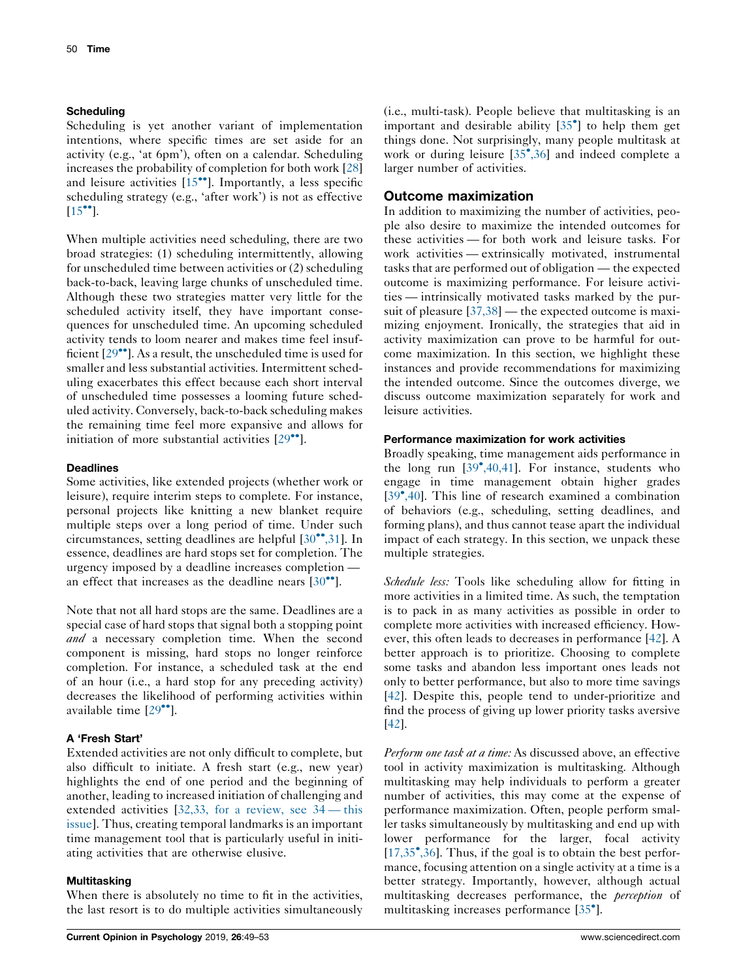#### **Scheduling**

Scheduling is yet another variant of implementation intentions, where specific times are set aside for an activity (e.g., 'at 6pm'), often on a calendar. Scheduling increases the probability of completion for both work [[28\]](#page-3-0) and leisure activities  $[15\text{°}$ . [Importantly,](#page-3-0) a less specific scheduling strategy (e.g., 'after work') is not as effective  $[15$ <sup>...</sup>].

When multiple activities need scheduling, there are two broad strategies: (1) scheduling intermittently, allowing for unscheduled time between activities or (2) scheduling back-to-back, leaving large chunks of unscheduled time. Although these two strategies matter very little for the scheduled activity itself, they have important consequences for unscheduled time. An upcoming scheduled activity tends to loom nearer and makes time feel insufficient  $[29\bullet]$ . As a result, the [unscheduled](#page-3-0) time is used for smaller and less substantial activities. Intermittent scheduling exacerbates this effect because each short interval of unscheduled time possesses a looming future scheduled activity. Conversely, back-to-back scheduling makes the remaining time feel more expansive and allows for initiation of more substantial activities  $[29$ <sup> $\bullet$ </sup>].

### **Deadlines**

Some activities, like extended projects (whether work or leisure), require interim steps to complete. For instance, personal projects like knitting a new blanket require multiple steps over a long period of time. Under such circumstances, setting deadlines are helpful  $[30\degree, 31]$ . In essence, deadlines are hard stops set for completion. The urgency imposed by a deadline increases completion an effect that increases as the deadline nears  $[30\degree]$  $[30\degree]$  $[30\degree]$ .

Note that not all hard stops are the same. Deadlines are a special case of hard stops that signal both a stopping point and a necessary completion time. When the second component is missing, hard stops no longer reinforce completion. For instance, a scheduled task at the end of an hour (i.e., a hard stop for any preceding activity) decreases the likelihood of performing activities within available time  $[29$  $[29$ <sup> $\degree$ </sup>].

## A 'Fresh Start'

Extended activities are not only difficult to complete, but also difficult to initiate. A fresh start (e.g., new year) highlights the end of one period and the beginning of another, leading to increased initiation of challenging and extended activities [32,33, for a [review,](#page-3-0) see 34 — this [issue\]](#page-3-0). Thus, creating temporal landmarks is an important time management tool that is particularly useful in initiating activities that are otherwise elusive.

#### **Multitasking**

When there is absolutely no time to fit in the activities, the last resort is to do multiple activities simultaneously

(i.e., multi-task). People believe that multitasking is an important and desirable ability [35 ] to help [them](#page-3-0) get things done. Not surprisingly, many people multitask at work or during leisure [35 [,36\]](#page-3-0) and indeed complete a larger number of activities.

# Outcome maximization

In addition to maximizing the number of activities, people also desire to maximize the intended outcomes for these activities — for both work and leisure tasks. For work activities — extrinsically motivated, instrumental tasks that are performed out of obligation — the expected outcome is maximizing performance. For leisure activities — intrinsically motivated tasks marked by the pur-suit of pleasure [\[37,38](#page-3-0)] — the expected outcome is maximizing enjoyment. Ironically, the strategies that aid in activity maximization can prove to be harmful for outcome maximization. In this section, we highlight these instances and provide recommendations for maximizing the intended outcome. Since the outcomes diverge, we discuss outcome maximization separately for work and leisure activities.

#### Performance maximization for work activities

Broadly speaking, time management aids performance in the long run  $[39^{\bullet},40,41]$  $[39^{\bullet},40,41]$ . For instance, students who engage in time management obtain higher grades [39 [,40\]](#page-3-0). This line of research examined a combination of behaviors (e.g., scheduling, setting deadlines, and forming plans), and thus cannot tease apart the individual impact of each strategy. In this section, we unpack these multiple strategies.

Schedule less: Tools like scheduling allow for fitting in more activities in a limited time. As such, the temptation is to pack in as many activities as possible in order to complete more activities with increased efficiency. However, this often leads to decreases in performance [\[42](#page-4-0)]. A better approach is to prioritize. Choosing to complete some tasks and abandon less important ones leads not only to better performance, but also to more time savings [\[42](#page-4-0)]. Despite this, people tend to under-prioritize and find the process of giving up lower priority tasks aversive [\[42](#page-4-0)].

Perform one task at a time: As discussed above, an effective tool in activity maximization is multitasking. Although multitasking may help individuals to perform a greater number of activities, this may come at the expense of performance maximization. Often, people perform smaller tasks simultaneously by multitasking and end up with lower performance for the larger, focal activity [\[17,35](#page-3-0)<sup>•</sup>,36]. Thus, if the goal is to obtain the best performance, focusing attention on a single activity at a time is a better strategy. Importantly, however, although actual multitasking decreases performance, the *perception* of multitasking increases performance [\[35](#page-3-0) ].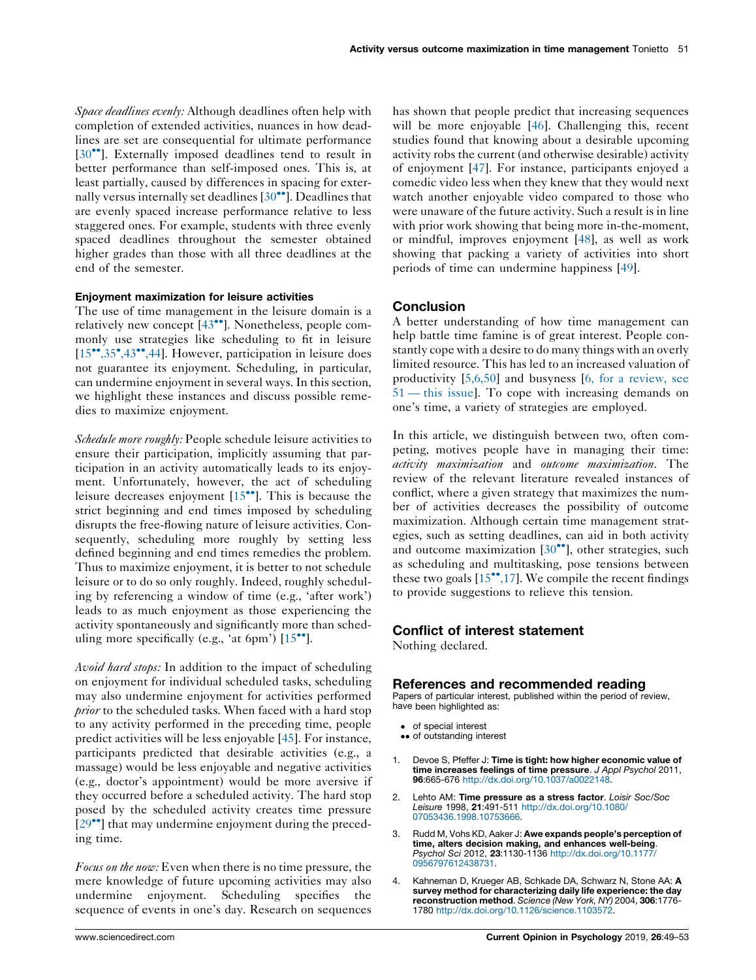<span id="page-2-0"></span>Space deadlines evenly: Although deadlines often help with completion of extended activities, nuances in how deadlines are set are consequential for ultimate performance [30<sup>••</sup>]. [Externally](#page-3-0) imposed deadlines tend to result in better performance than self-imposed ones. This is, at least partially, caused by differences in spacing for externally versus internally set deadlines  $[30\degree]$ . [Deadlines](#page-3-0) that are evenly spaced increase performance relative to less staggered ones. For example, students with three evenly spaced deadlines throughout the semester obtained higher grades than those with all three deadlines at the end of the semester.

#### Enjoyment maximization for leisure activities

The use of time management in the leisure domain is a relatively new concept  $[43^{\bullet\bullet}]$ . [Nonetheless,](#page-4-0) people commonly use strategies like scheduling to fit in leisure [15<sup>\*\*</sup>[,35](#page-3-0)<sup>\*</sup>,43<sup>\*\*</sup>,44]. However, participation in leisure does not guarantee its enjoyment. Scheduling, in particular, can undermine enjoyment in several ways. In this section, we highlight these instances and discuss possible remedies to maximize enjoyment.

Schedule more roughly: People schedule leisure activities to ensure their participation, implicitly assuming that participation in an activity automatically leads to its enjoyment. Unfortunately, however, the act of scheduling leisure decreases enjoyment  $[15\text{''}']$ . This is [because](#page-3-0) the strict beginning and end times imposed by scheduling disrupts the free-flowing nature of leisure activities. Consequently, scheduling more roughly by setting less defined beginning and end times remedies the problem. Thus to maximize enjoyment, it is better to not schedule leisure or to do so only roughly. Indeed, roughly scheduling by referencing a window of time (e.g., 'after work') leads to as much enjoyment as those experiencing the activity spontaneously and significantly more than scheduling more specifically (e.g., 'at 6pm')  $[15$  $[15$ <sup>\*</sup>.

Avoid hard stops: In addition to the impact of scheduling on enjoyment for individual scheduled tasks, scheduling may also undermine enjoyment for activities performed prior to the scheduled tasks. When faced with a hard stop to any activity performed in the preceding time, people predict activities will be less enjoyable [\[45](#page-4-0)]. For instance, participants predicted that desirable activities (e.g., a massage) would be less enjoyable and negative activities (e.g., doctor's appointment) would be more aversive if they occurred before a scheduled activity. The hard stop posed by the scheduled activity creates time pressure  $[29$ <sup> $\bullet$ </sup>] that may [undermine](#page-3-0) enjoyment during the preceding time.

Focus on the now: Even when there is no time pressure, the mere knowledge of future upcoming activities may also undermine enjoyment. Scheduling specifies the sequence of events in one's day. Research on sequences

has shown that people predict that increasing sequences will be more enjoyable [[46\]](#page-4-0). Challenging this, recent studies found that knowing about a desirable upcoming activity robs the current (and otherwise desirable) activity of enjoyment [\[47](#page-4-0)]. For instance, participants enjoyed a comedic video less when they knew that they would next watch another enjoyable video compared to those who were unaware of the future activity. Such a result is in line with prior work showing that being more in-the-moment, or mindful, improves enjoyment [[48\]](#page-4-0), as well as work showing that packing a variety of activities into short periods of time can undermine happiness [\[49](#page-4-0)].

#### **Conclusion**

A better understanding of how time management can help battle time famine is of great interest. People constantly cope with a desire to do many things with an overly limited resource. This has led to an increased valuation of productivity [\[5,6,50](#page-3-0)] and busyness [6, for a [review,](#page-3-0) see 51 — this [issue\]](#page-3-0). To cope with increasing demands on one's time, a variety of strategies are employed.

In this article, we distinguish between two, often competing, motives people have in managing their time: activity maximization and outcome maximization. The review of the relevant literature revealed instances of conflict, where a given strategy that maximizes the number of activities decreases the possibility of outcome maximization. Although certain time management strategies, such as setting deadlines, can aid in both activity and outcome maximization  $[30^{\bullet\bullet}]$ , other [strategies,](#page-3-0) such as scheduling and multitasking, pose tensions between these two goals  $[15\degree, 17]$ . We compile the recent findings to provide suggestions to relieve this tension.

#### Conflict of interest statement

Nothing declared.

#### References and recommended reading

Papers of particular interest, published within the period of review, have been highlighted as:

- of special interest
- •• of outstanding interest
- 1. Devoe S, Pfeffer J: Time is tight: how higher economic value of time increases feelings of time pressure. J Appl Psychol 2011, 96:665-676 <http://dx.doi.org/10.1037/a0022148>.
- 2. Lehto AM: Time pressure as a stress factor. Loisir Soc/Soc Leisure 1998, 21:491-511 [http://dx.doi.org/10.1080/](http://dx.doi.org/10.1080/07053436.1998.10753666) [07053436.1998.10753666](http://dx.doi.org/10.1080/07053436.1998.10753666).
- 3. Rudd M, Vohs KD, Aaker J: Awe expands people's perception of time, alters decision making, and enhances well-being.<br>Psychol Sci 2012, 23:1130-1136 [http://dx.doi.org/10.1177/](http://dx.doi.org/10.1177/0956797612438731) [0956797612438731.](http://dx.doi.org/10.1177/0956797612438731)
- Kahneman D, Krueger AB, Schkade DA, Schwarz N, Stone AA: A survey method for characterizing daily life experience: the day reconstruction method. Science (New York, NY) 2004, 306:1776- 1780 [http://dx.doi.org/10.1126/science.1103572.](http://dx.doi.org/10.1126/science.1103572)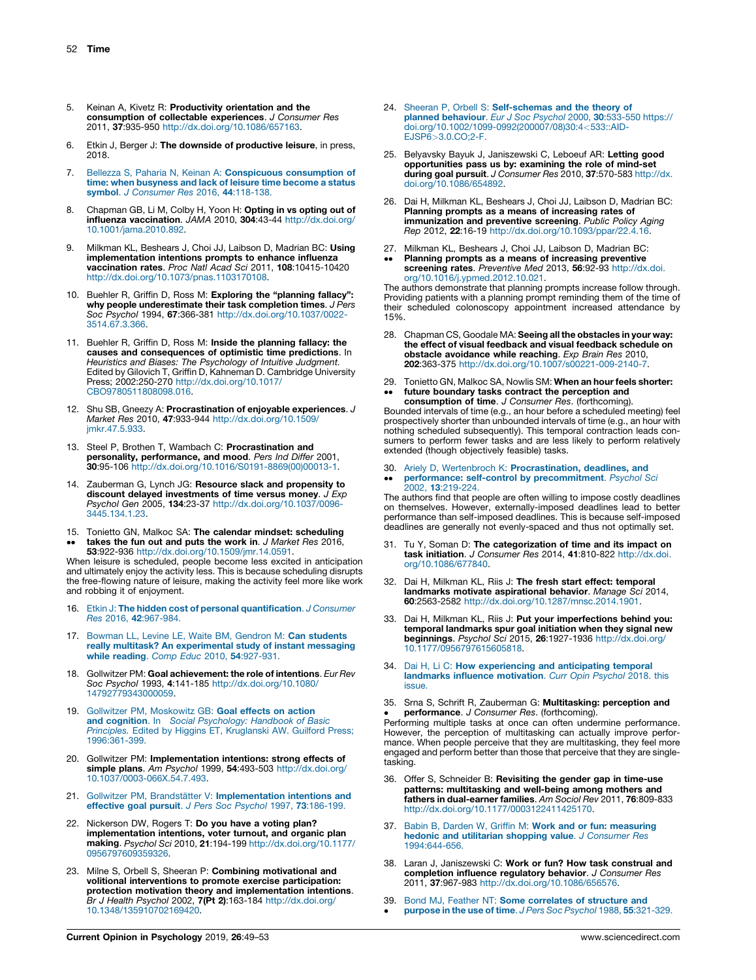- <span id="page-3-0"></span>5. Keinan A, Kivetz R: Productivity orientation and the consumption of collectable experiences. J Consumer Res 2011, 37:935-950 [http://dx.doi.org/10.1086/657163.](http://dx.doi.org/10.1086/657163)
- 6. Etkin J, Berger J: The downside of productive leisure, in press, 2018.
- 7. Bellezza S, Paharia N, Keinan A: [Conspicuous](http://refhub.elsevier.com/S2352-250X(18)30055-1/sbref0290) consumption of time: when [busyness](http://refhub.elsevier.com/S2352-250X(18)30055-1/sbref0290) and lack of leisure time become a status symbol. J [Consumer](http://refhub.elsevier.com/S2352-250X(18)30055-1/sbref0290) Res 2016, 44:118-138.
- 8. Chapman GB, Li M, Colby H, Yoon H: Opting in vs opting out of influenza vaccination. JAMA 2010, 304:43-44 [http://dx.doi.org/](http://dx.doi.org/10.1001/jama.2010.892) [10.1001/jama.2010.892.](http://dx.doi.org/10.1001/jama.2010.892)
- Milkman KL, Beshears J, Choi JJ, Laibson D, Madrian BC: Using implementation intentions prompts to enhance influenza vaccination rates. Proc Natl Acad Sci 2011, 108:10415-10420 <http://dx.doi.org/10.1073/pnas.1103170108>.
- 10. Buehler R, Griffin D, Ross M: Exploring the "planning fallacy": why people underestimate their task completion times. J Pers Soc Psychol 1994, 67:366-381 [http://dx.doi.org/10.1037/0022-](http://dx.doi.org/10.1037/0022-3514.67.3.366) [3514.67.3.366.](http://dx.doi.org/10.1037/0022-3514.67.3.366)
- 11. Buehler R, Griffin D, Ross M: Inside the planning fallacy: the causes and consequences of optimistic time predictions. In Heuristics and Biases: The Psychology of Intuitive Judgment. Edited by Gilovich T, Griffin D, Kahneman D. Cambridge University Press; 2002:250-270 [http://dx.doi.org/10.1017/](http://dx.doi.org/10.1017/CBO9780511808098.016) [CBO9780511808098.016.](http://dx.doi.org/10.1017/CBO9780511808098.016)
- 12. Shu SB, Gneezy A: Procrastination of enjoyable experiences. J Market Res 2010, 47:933-944 [http://dx.doi.org/10.1509/](http://dx.doi.org/10.1509/jmkr.47.5.933) [jmkr.47.5.933.](http://dx.doi.org/10.1509/jmkr.47.5.933)
- 13. Steel P, Brothen T, Wambach C: Procrastination and personality, performance, and mood. Pers Ind Differ 2001, 30:95-106 [http://dx.doi.org/10.1016/S0191-8869\(00\)00013-1](http://dx.doi.org/10.1016/S0191-8869(00)00013-1).
- 14. Zauberman G, Lynch JG: Resource slack and propensity to discount delayed investments of time versus money. J Exp Psychol Gen 2005, 134:23-37 [http://dx.doi.org/10.1037/0096-](http://dx.doi.org/10.1037/0096-3445.134.1.23) [3445.134.1.23.](http://dx.doi.org/10.1037/0096-3445.134.1.23)
- 15. Tonietto GN, Malkoc SA: The calendar mindset: scheduling
- $\ddot{\phantom{0}}$ takes the fun out and puts the work in. J Market Res 2016, 53:922-936 <http://dx.doi.org/10.1509/jmr.14.0591>.

When leisure is scheduled, people become less excited in anticipation and ultimately enjoy the activity less. This is because scheduling disrupts the free-flowing nature of leisure, making the activity feel more like work and robbing it of enjoyment.

- 16. Etkin J: The hidden cost of personal [quantification](http://refhub.elsevier.com/S2352-250X(18)30055-1/sbref0335). J Consumer Res 2016, 42[:967-984.](http://refhub.elsevier.com/S2352-250X(18)30055-1/sbref0335)
- 17. Bowman LL, Levine LE, Waite BM, Gendron M: Can [students](http://refhub.elsevier.com/S2352-250X(18)30055-1/sbref0340) really multitask? An [experimental](http://refhub.elsevier.com/S2352-250X(18)30055-1/sbref0340) study of instant messaging while reading. Comp Educ 2010, 54[:927-931.](http://refhub.elsevier.com/S2352-250X(18)30055-1/sbref0340)
- 18. Gollwitzer PM: Goal achievement: the role of intentions. Eur Rev Soc Psychol 1993, 4:141-185 [http://dx.doi.org/10.1080/](http://dx.doi.org/10.1080/14792779343000059) [14792779343000059](http://dx.doi.org/10.1080/14792779343000059).
- 19. Gollwitzer PM, [Moskowitz](http://refhub.elsevier.com/S2352-250X(18)30055-1/sbref0350) GB: Goal effects on action and cognition. In Social [Psychology:](http://refhub.elsevier.com/S2352-250X(18)30055-1/sbref0350) Handbook of Basic Principles. Edited by Higgins ET, [Kruglanski](http://refhub.elsevier.com/S2352-250X(18)30055-1/sbref0350) AW. Guilford Press; [1996:361-399.](http://refhub.elsevier.com/S2352-250X(18)30055-1/sbref0350)
- 20. Gollwitzer PM: Implementation intentions: strong effects of simple plans. Am Psychol 1999, 54:493-503 [http://dx.doi.org/](http://dx.doi.org/10.1037/0003-066X.54.7.493) [10.1037/0003-066X.54.7.493](http://dx.doi.org/10.1037/0003-066X.54.7.493).
- Gollwitzer PM, Brandstätter V: [Implementation](http://refhub.elsevier.com/S2352-250X(18)30055-1/sbref0360) intentions and effective goal pursuit. J Pers Soc Psychol 1997, 73[:186-199.](http://refhub.elsevier.com/S2352-250X(18)30055-1/sbref0360)
- 22. Nickerson DW, Rogers T: Do you have a voting plan? implementation intentions, voter turnout, and organic plan making. Psychol Sci 2010, 21:194-199 [http://dx.doi.org/10.1177/](http://dx.doi.org/10.1177/0956797609359326) [0956797609359326](http://dx.doi.org/10.1177/0956797609359326).
- 23. Milne S, Orbell S, Sheeran P: Combining motivational and volitional interventions to promote exercise participation: protection motivation theory and implementation intentions. Br J Health Psychol 2002, 7(Pt 2):163-184 [http://dx.doi.org/](http://dx.doi.org/10.1348/135910702169420) [10.1348/135910702169420.](http://dx.doi.org/10.1348/135910702169420)
- 24. Sheeran P, Orbell S: [Self-schemas](http://refhub.elsevier.com/S2352-250X(18)30055-1/sbref0375) and the theory of planned [behaviour](http://refhub.elsevier.com/S2352-250X(18)30055-1/sbref0375). Eur J Soc Psychol 2000, 30:533-550 https:// [doi.org/10.1002/1099-0992\(200007/08\)30:4](http://refhub.elsevier.com/S2352-250X(18)30055-1/sbref0375)<533::AID-EJSP6>[3.0.CO;2-F.](http://refhub.elsevier.com/S2352-250X(18)30055-1/sbref0375)
- 25. Belyavsky Bayuk J, Janiszewski C, Leboeuf AR: Letting good opportunities pass us by: examining the role of mind-set during goal pursuit. J Consumer Res 2010, 37:570-583 [http://dx.](http://dx.doi.org/10.1086/654892) [doi.org/10.1086/654892.](http://dx.doi.org/10.1086/654892)
- 26. Dai H, Milkman KL, Beshears J, Choi JJ, Laibson D, Madrian BC: Planning prompts as a means of increasing rates of immunization and preventive screening. Public Policy Aging Rep 2012, 22:16-19 [http://dx.doi.org/10.1093/ppar/22.4.16.](http://dx.doi.org/10.1093/ppar/22.4.16)
- 27. Milkman KL, Beshears J, Choi JJ, Laibson D, Madrian BC:
- $\ddot{\phantom{0}}$ Planning prompts as a means of increasing preventive<br>screening rates. Preventive Med 2013, 56:92-93 [http://dx.doi.](http://dx.doi.org/10.1016/j.ypmed.2012.10.021) [org/10.1016/j.ypmed.2012.10.021.](http://dx.doi.org/10.1016/j.ypmed.2012.10.021)

The authors demonstrate that planning prompts increase follow through. Providing patients with a planning prompt reminding them of the time of their scheduled colonoscopy appointment increased attendance by 15%.

- 28. Chapman CS, Goodale MA: Seeing all the obstacles in your way: the effect of visual feedback and visual feedback schedule on obstacle avoidance while reaching. Exp Brain Res 2010, 202:363-375 <http://dx.doi.org/10.1007/s00221-009-2140-7>.
- 29. Tonietto GN, Malkoc SA, Nowlis SM: When an hour feels shorter:  $\bullet\bullet$ future boundary tasks contract the perception and

consumption of time. J Consumer Res. (forthcoming). Bounded intervals of time (e.g., an hour before a scheduled meeting) feel prospectively shorter than unbounded intervals of time (e.g., an hour with nothing scheduled subsequently). This temporal contraction leads consumers to perform fewer tasks and are less likely to perform relatively extended (though objectively feasible) tasks.

#### 30. Ariely D, Wertenbroch K: [Procrastination,](http://refhub.elsevier.com/S2352-250X(18)30055-1/sbref0405) deadlines, and  $\bullet\bullet$ performance: self-control by [precommitment](http://refhub.elsevier.com/S2352-250X(18)30055-1/sbref0405). Psychol Sci 2002, 13[:219-224.](http://refhub.elsevier.com/S2352-250X(18)30055-1/sbref0405)

The authors find that people are often willing to impose costly deadlines on themselves. However, externally-imposed deadlines lead to better performance than self-imposed deadlines. This is because self-imposed deadlines are generally not evenly-spaced and thus not optimally set.

- 31. Tu Y, Soman D: The categorization of time and its impact on task initiation. J Consumer Res 2014, 41:810-822 [http://dx.doi.](http://dx.doi.org/10.1086/677840) [org/10.1086/677840](http://dx.doi.org/10.1086/677840).
- 32. Dai H, Milkman KL, Riis J: The fresh start effect: temporal landmarks motivate aspirational behavior. Manage Sci 2014, 60:2563-2582 <http://dx.doi.org/10.1287/mnsc.2014.1901>.
- 33. Dai H, Milkman KL, Riis J: Put your imperfections behind you: temporal landmarks spur goal initiation when they signal new beginnings. Psychol Sci 2015, 26:1927-1936 [http://dx.doi.org/](http://dx.doi.org/10.1177/0956797615605818) [10.1177/0956797615605818.](http://dx.doi.org/10.1177/0956797615605818)
- 34. Dai H, Li C: How [experiencing](http://refhub.elsevier.com/S2352-250X(18)30055-1/sbref0425) and anticipating temporal landmarks influence [motivation](http://refhub.elsevier.com/S2352-250X(18)30055-1/sbref0425). Curr Opin Psychol 2018. this [issue.](http://refhub.elsevier.com/S2352-250X(18)30055-1/sbref0425)
- 35. Srna S, Schrift R, Zauberman G: Multitasking: perception and performance. J Consumer Res. (forthcoming).

• **Performance**. *J Consumer Hes.* (forthcoming).<br>Performing multiple tasks at once can often undermine performance. However, the perception of multitasking can actually improve performance. When people perceive that they are multitasking, they feel more engaged and perform better than those that perceive that they are singletasking.

- 36. Offer S, Schneider B: Revisiting the gender gap in time-use patterns: multitasking and well-being among mothers and fathers in dual-earner families. Am Sociol Rev 2011, 76:809-833 [http://dx.doi.org/10.1177/0003122411425170.](http://dx.doi.org/10.1177/0003122411425170)
- 37. Babin B, Darden W, Griffin M: Work and or fun: [measuring](http://refhub.elsevier.com/S2352-250X(18)30055-1/sbref0440) hedonic and utilitarian shopping value. J [Consumer](http://refhub.elsevier.com/S2352-250X(18)30055-1/sbref0440) Res [1994:644-656.](http://refhub.elsevier.com/S2352-250X(18)30055-1/sbref0440)
- 38. Laran J, Janiszewski C: Work or fun? How task construal and completion influence regulatory behavior. J Consumer Res 2011, 37:967-983 <http://dx.doi.org/10.1086/656576>.
- 39. Bond MJ, Feather NT: Some [correlates](http://refhub.elsevier.com/S2352-250X(18)30055-1/sbref0450) of structure and  $\bullet$ purpose in the use of time. J Pers Soc Psychol 1988, 55[:321-329.](http://refhub.elsevier.com/S2352-250X(18)30055-1/sbref0450)